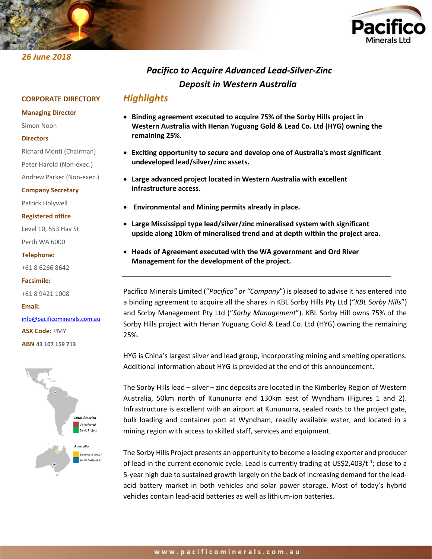



# *Pacifico to Acquire Advanced Lead-Silver-Zinc Deposit in Western Australia*

## *Highlights*

### **Managing Director**

*26 June 2018*

Simon Noon

### **Directors**

Richard Monti (Chairman)

**CORPORATE DIRECTORY**

Peter Harold (Non-exec.)

Andrew Parker (Non-exec.)

### **Company Secretary**

Patrick Holywell

**Registered office**

Level 10, 553 Hay St Perth WA 6000

### **Telephone:**

+61 8 6266 8642

**Facsimile:**

+61 8 9421 1008

**Email:**

# [info@pacificominerals.com.au](mailto:info@pacificominerals.com.au)

**ASX Code:** PMY

**ABN 43 107 159 713**



- **Binding agreement executed to acquire 75% of the Sorby Hills project in Western Australia with Henan Yuguang Gold & Lead Co. Ltd (HYG) owning the remaining 25%.**
- **Exciting opportunity to secure and develop one of Australia's most significant undeveloped lead/silver/zinc assets.**
- **Large advanced project located in Western Australia with excellent infrastructure access.**
- **Environmental and Mining permits already in place.**
- **Large Mississippi type lead/silver/zinc mineralised system with significant upside along 10km of mineralised trend and at depth within the project area.**
- **Heads of Agreement executed with the WA government and Ord River Management for the development of the project.**

Pacifico Minerals Limited ("*Pacifico" or "Company*") is pleased to advise it has entered into a binding agreement to acquire all the shares in KBL Sorby Hills Pty Ltd ("*KBL Sorby Hills*") and Sorby Management Pty Ltd ("*Sorby Management*"). KBL Sorby Hill owns 75% of the Sorby Hills project with Henan Yuguang Gold & Lead Co. Ltd (HYG) owning the remaining 25%.

HYG is China's largest silver and lead group, incorporating mining and smelting operations. Additional information about HYG is provided at the end of this announcement.

The Sorby Hills lead – silver – zinc deposits are located in the Kimberley Region of Western Australia, 50km north of Kununurra and 130km east of Wyndham (Figures 1 and 2). Infrastructure is excellent with an airport at Kununurra, sealed roads to the project gate, bulk loading and container port at Wyndham, readily available water, and located in a mining region with access to skilled staff, services and equipment.

The Sorby Hills Project presents an opportunity to become a leading exporter and producer of lead in the current economic cycle. Lead is currently trading at US\$2,403/t  $^{1}$ ; close to a 5-year high due to sustained growth largely on the back of increasing demand for the leadacid battery market in both vehicles and solar power storage. Most of today's hybrid vehicles contain lead-acid batteries as well as lithium-ion batteries.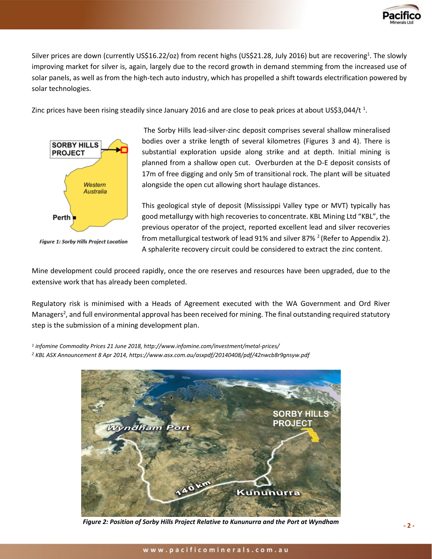

Silver prices are down (currently US\$16.22/oz) from recent highs (US\$21.28, July 2016) but are recovering<sup>1</sup>. The slowly improving market for silver is, again, largely due to the record growth in demand stemming from the increased use of solar panels, as well as from the high-tech auto industry, which has propelled a shift towards electrification powered by solar technologies.

Zinc prices have been rising steadily since January 2016 and are close to peak prices at about US\$3,044/t  $^1$ .



Figure 1: Sorby Hills Project Location

The Sorby Hills lead-silver-zinc deposit comprises several shallow mineralised bodies over a strike length of several kilometres (Figures 3 and 4). There is substantial exploration upside along strike and at depth. Initial mining is planned from a shallow open cut. Overburden at the D-E deposit consists of 17m of free digging and only 5m of transitional rock. The plant will be situated alongside the open cut allowing short haulage distances.

This geological style of deposit (Mississippi Valley type or MVT) typically has good metallurgy with high recoveries to concentrate. KBL Mining Ltd "KBL", the previous operator of the project, reported excellent lead and silver recoveries from metallurgical testwork of lead 91% and silver 87%  $^2$  (Refer to Appendix 2). A sphalerite recovery circuit could be considered to extract the zinc content.

Mine development could proceed rapidly, once the ore reserves and resources have been upgraded, due to the extensive work that has already been completed.

Regulatory risk is minimised with a Heads of Agreement executed with the WA Government and Ord River Managers<sup>2</sup>, and full environmental approval has been received for mining. The final outstanding required statutory step is the submission of a mining development plan.

*1 infomine Commodity Prices 21 June 2018, http://www.infomine.com/investment/metal-prices/ <sup>2</sup> KBL ASX Announcement 8 Apr 2014, https://www.asx.com.au/asxpdf/20140408/pdf/42nwcb8r9gnsyw.pdf*



*Figure 2: Position of Sorby Hills Project Relative to Kununurra and the Port at Wyndham*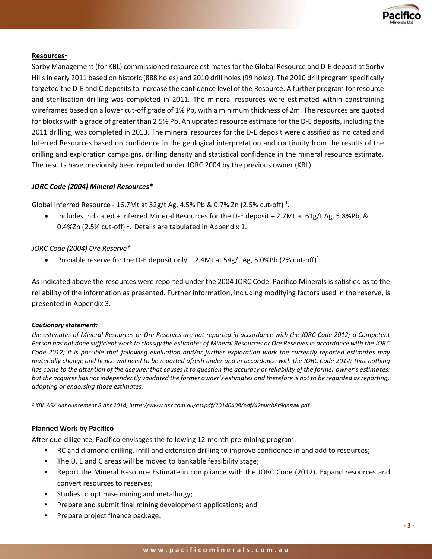

### **Resources<sup>1</sup>**

Sorby Management (for KBL) commissioned resource estimatesfor the Global Resource and D-E deposit at Sorby Hills in early 2011 based on historic (888 holes) and 2010 drill holes (99 holes). The 2010 drill program specifically targeted the D-E and C deposits to increase the confidence level of the Resource. A further program for resource and sterilisation drilling was completed in 2011. The mineral resources were estimated within constraining wireframes based on a lower cut-off grade of 1% Pb, with a minimum thickness of 2m. The resources are quoted for blocks with a grade of greater than 2.5% Pb. An updated resource estimate for the D-E deposits, including the 2011 drilling, was completed in 2013. The mineral resources for the D-E deposit were classified as Indicated and Inferred Resources based on confidence in the geological interpretation and continuity from the results of the drilling and exploration campaigns, drilling density and statistical confidence in the mineral resource estimate. The results have previously been reported under JORC 2004 by the previous owner (KBL).

### *JORC Code (2004) Mineral Resources\**

Global Inferred Resource - 16.7Mt at 52g/t Ag, 4.5% Pb & 0.7% Zn (2.5% cut-off)  $^{1}$ .

• Includes Indicated + Inferred Mineral Resources for the D-E deposit  $-2.7$ Mt at 61g/t Ag, 5.8%Pb, & 0.4%Zn (2.5% cut-off)<sup>1</sup>. Details are tabulated in Appendix 1.

### *JORC Code (2004) Ore Reserve\**

• Probable reserve for the D-E deposit only  $-$  2.4Mt at 54g/t Ag, 5.0%Pb (2% cut-off)<sup>1</sup>.

As indicated above the resources were reported under the 2004 JORC Code. Pacifico Minerals is satisfied as to the reliability of the information as presented. Further information, including modifying factors used in the reserve, is presented in Appendix 3.

#### *Cautionary statement:*

*the estimates of Mineral Resources or Ore Reserves are not reported in accordance with the JORC Code 2012; a Competent Person has not done sufficient work to classify the estimates of Mineral Resources or Ore Reserves in accordance with the JORC Code 2012; it is possible that following evaluation and/or further exploration work the currently reported estimates may materially change and hence will need to be reported afresh under and in accordance with the JORC Code 2012; that nothing has come to the attention of the acquirer that causes it to question the accuracy or reliability of the former owner's estimates; but the acquirer has not independently validated the former owner's estimates and therefore is not to be regarded as reporting, adopting or endorsing those estimates.*

*<sup>1</sup> KBL ASX Announcement 8 Apr 2014, https://www.asx.com.au/asxpdf/20140408/pdf/42nwcb8r9gnsyw.pdf*

### **Planned Work by Pacifico**

After due-diligence, Pacifico envisages the following 12-month pre-mining program:

- RC and diamond drilling, infill and extension drilling to improve confidence in and add to resources;
- The D, E and C areas will be moved to bankable feasibility stage;
- Report the Mineral Resource Estimate in compliance with the JORC Code (2012). Expand resources and convert resources to reserves;
- Studies to optimise mining and metallurgy;
- Prepare and submit final mining development applications; and
- Prepare project finance package.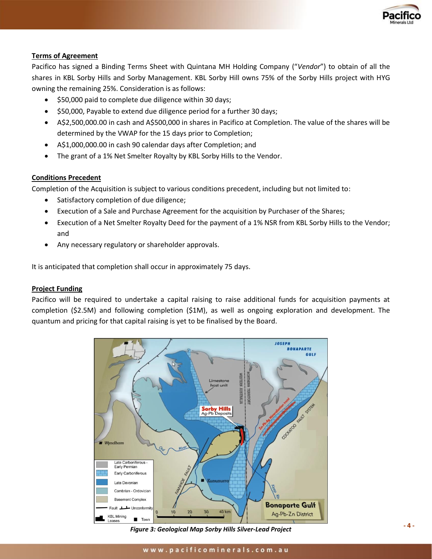

### **Terms of Agreement**

Pacifico has signed a Binding Terms Sheet with Quintana MH Holding Company ("*Vendor*") to obtain of all the shares in KBL Sorby Hills and Sorby Management. KBL Sorby Hill owns 75% of the Sorby Hills project with HYG owning the remaining 25%. Consideration is as follows:

- \$50,000 paid to complete due diligence within 30 days;
- \$50,000, Payable to extend due diligence period for a further 30 days;
- A\$2,500,000.00 in cash and A\$500,000 in shares in Pacifico at Completion. The value of the shares will be determined by the VWAP for the 15 days prior to Completion;
- A\$1,000,000.00 in cash 90 calendar days after Completion; and
- The grant of a 1% Net Smelter Royalty by KBL Sorby Hills to the Vendor.

#### **Conditions Precedent**

Completion of the Acquisition is subject to various conditions precedent, including but not limited to:

- Satisfactory completion of due diligence;
- Execution of a Sale and Purchase Agreement for the acquisition by Purchaser of the Shares;
- Execution of a Net Smelter Royalty Deed for the payment of a 1% NSR from KBL Sorby Hills to the Vendor; and
- Any necessary regulatory or shareholder approvals.

It is anticipated that completion shall occur in approximately 75 days.

#### **Project Funding**

Pacifico will be required to undertake a capital raising to raise additional funds for acquisition payments at completion (\$2.5M) and following completion (\$1M), as well as ongoing exploration and development. The quantum and pricing for that capital raising is yet to be finalised by the Board.



*Figure 3: Geological Map Sorby Hills Silver-Lead Project*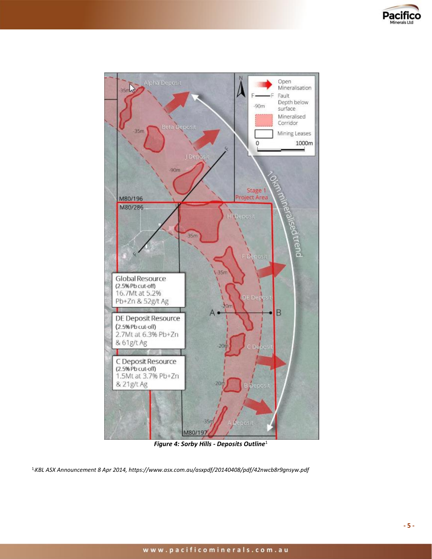



*Figure 4: Sorby Hills - Deposits Outline*<sup>1</sup>

<sup>1</sup> *KBL ASX Announcement 8 Apr 2014, https://www.asx.com.au/asxpdf/20140408/pdf/42nwcb8r9gnsyw.pdf*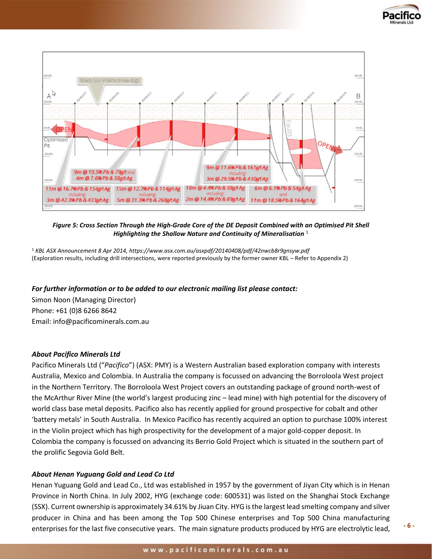



*Figure 5: Cross Section Through the High-Grade Core of the DE Deposit Combined with an Optimised Pit Shell Highlighting the Shallow Nature and Continuity of Mineralisation*<sup>1</sup>

<sup>1</sup> *KBL ASX Announcement 8 Apr 2014, https://www.asx.com.au/asxpdf/20140408/pdf/42nwcb8r9gnsyw.pdf* (Exploration results, including drill intersections, were reported previously by the former owner KBL – Refer to Appendix 2)

#### *For further information or to be added to our electronic mailing list please contact:*

Simon Noon (Managing Director) Phone: +61 (0)8 6266 8642 Email: [info@pacificominerals.com.au](mailto:info@pacificominerals.com.au)

#### *About Pacifico Minerals Ltd*

Pacifico Minerals Ltd ("*Pacifico*") (ASX: PMY) is a Western Australian based exploration company with interests Australia, Mexico and Colombia. In Australia the company is focussed on advancing the Borroloola West project in the Northern Territory. The Borroloola West Project covers an outstanding package of ground north-west of the McArthur River Mine (the world's largest producing zinc – lead mine) with high potential for the discovery of world class base metal deposits. Pacifico also has recently applied for ground prospective for cobalt and other 'battery metals' in South Australia. In Mexico Pacifico has recently acquired an option to purchase 100% interest in the Violin project which has high prospectivity for the development of a major gold-copper deposit. In Colombia the company is focussed on advancing its Berrio Gold Project which is situated in the southern part of the prolific Segovia Gold Belt.

#### *About Henan Yuguang Gold and Lead Co Ltd*

Henan Yuguang Gold and Lead Co., Ltd was established in 1957 by the government of Jiyan City which is in Henan Province in North China. In July 2002, HYG (exchange code: 600531) was listed on the Shanghai Stock Exchange (SSX). Current ownership is approximately 34.61% by Jiuan City. HYG is the largest lead smelting company and silver producer in China and has been among the Top 500 Chinese enterprises and Top 500 China manufacturing enterprises for the last five consecutive years. The main signature products produced by HYG are electrolytic lead,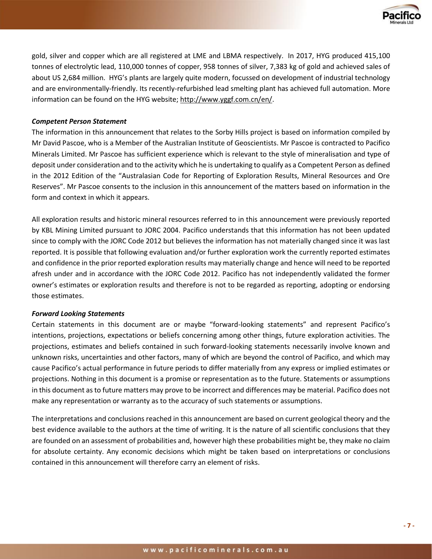

gold, silver and copper which are all registered at LME and LBMA respectively. In 2017, HYG produced 415,100 tonnes of electrolytic lead, 110,000 tonnes of copper, 958 tonnes of silver, 7,383 kg of gold and achieved sales of about US 2,684 million. HYG's plants are largely quite modern, focussed on development of industrial technology and are environmentally-friendly. Its recently-refurbished lead smelting plant has achieved full automation. More information can be found on the HYG website; http://www.yggf.com.cn/en/.

### *Competent Person Statement*

The information in this announcement that relates to the Sorby Hills project is based on information compiled by Mr David Pascoe, who is a Member of the Australian Institute of Geoscientists. Mr Pascoe is contracted to Pacifico Minerals Limited. Mr Pascoe has sufficient experience which is relevant to the style of mineralisation and type of deposit under consideration and to the activity which he is undertaking to qualify as a Competent Person as defined in the 2012 Edition of the "Australasian Code for Reporting of Exploration Results, Mineral Resources and Ore Reserves". Mr Pascoe consents to the inclusion in this announcement of the matters based on information in the form and context in which it appears.

All exploration results and historic mineral resources referred to in this announcement were previously reported by KBL Mining Limited pursuant to JORC 2004. Pacifico understands that this information has not been updated since to comply with the JORC Code 2012 but believes the information has not materially changed since it was last reported. It is possible that following evaluation and/or further exploration work the currently reported estimates and confidence in the prior reported exploration results may materially change and hence will need to be reported afresh under and in accordance with the JORC Code 2012. Pacifico has not independently validated the former owner's estimates or exploration results and therefore is not to be regarded as reporting, adopting or endorsing those estimates.

#### *Forward Looking Statements*

Certain statements in this document are or maybe "forward-looking statements" and represent Pacifico's intentions, projections, expectations or beliefs concerning among other things, future exploration activities. The projections, estimates and beliefs contained in such forward-looking statements necessarily involve known and unknown risks, uncertainties and other factors, many of which are beyond the control of Pacifico, and which may cause Pacifico's actual performance in future periods to differ materially from any express or implied estimates or projections. Nothing in this document is a promise or representation as to the future. Statements or assumptions in this document as to future matters may prove to be incorrect and differences may be material. Pacifico does not make any representation or warranty as to the accuracy of such statements or assumptions.

The interpretations and conclusions reached in this announcement are based on current geological theory and the best evidence available to the authors at the time of writing. It is the nature of all scientific conclusions that they are founded on an assessment of probabilities and, however high these probabilities might be, they make no claim for absolute certainty. Any economic decisions which might be taken based on interpretations or conclusions contained in this announcement will therefore carry an element of risks.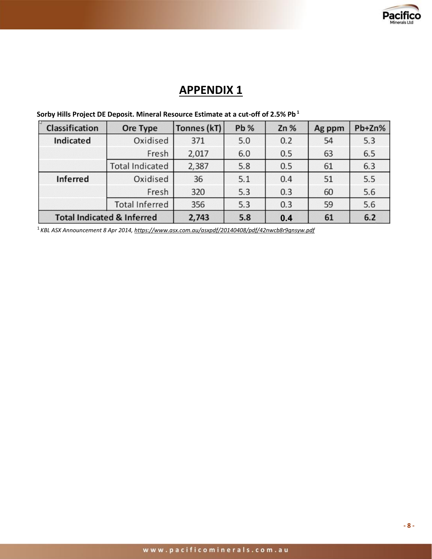

# **APPENDIX 1**

| $\mathbb{R}$<br>Classification        | Ore Type               | Tonnes (kT) | <b>Pb %</b> | Zn% | Ag ppm | Pb+Zn% |
|---------------------------------------|------------------------|-------------|-------------|-----|--------|--------|
| <b>Indicated</b>                      | Oxidised               | 371         | 5.0         | 0.2 | 54     | 5.3    |
|                                       | Fresh                  | 2,017       | 6.0         | 0.5 | 63     | 6.5    |
|                                       | <b>Total Indicated</b> | 2,387       | 5.8         | 0.5 | 61     | 6.3    |
| <b>Inferred</b>                       | Oxidised               | 36          | 5.1         | 0.4 | 51     | 5.5    |
|                                       | Fresh                  | 320         | 5.3         | 0.3 | 60     | 5.6    |
|                                       | <b>Total Inferred</b>  | 356         | 5.3         | 0.3 | 59     | 5.6    |
| <b>Total Indicated &amp; Inferred</b> |                        | 2,743       | 5.8         | 0.4 | 61     | 6.2    |

# **Sorby Hills Project DE Deposit. Mineral Resource Estimate at a cut-off of 2.5% Pb <sup>1</sup>**

<sup>1</sup>*KBL ASX Announcement 8 Apr 2014, https://www.asx.com.au/asxpdf/20140408/pdf/42nwcb8r9gnsyw.pdf*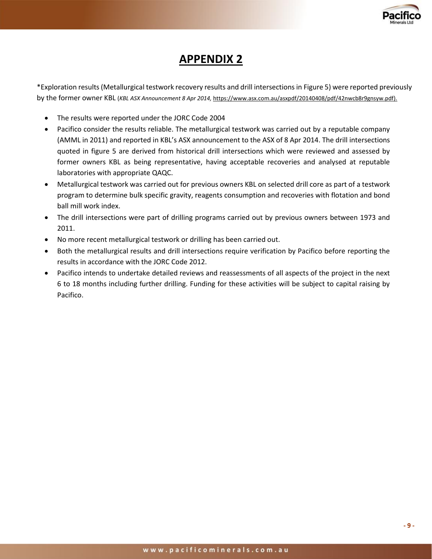

# **APPENDIX 2**

\*Exploration results (Metallurgical testwork recovery results and drill intersections in Figure 5) were reported previously by the former owner KBL (*KBL ASX Announcement 8 Apr 2014,* https://www.asx.com.au/asxpdf/20140408/pdf/42nwcb8r9gnsyw.pdf).

- The results were reported under the JORC Code 2004
- Pacifico consider the results reliable. The metallurgical testwork was carried out by a reputable company (AMML in 2011) and reported in KBL's ASX announcement to the ASX of 8 Apr 2014. The drill intersections quoted in figure 5 are derived from historical drill intersections which were reviewed and assessed by former owners KBL as being representative, having acceptable recoveries and analysed at reputable laboratories with appropriate QAQC.
- Metallurgical testwork was carried out for previous owners KBL on selected drill core as part of a testwork program to determine bulk specific gravity, reagents consumption and recoveries with flotation and bond ball mill work index.
- The drill intersections were part of drilling programs carried out by previous owners between 1973 and 2011.
- No more recent metallurgical testwork or drilling has been carried out.
- Both the metallurgical results and drill intersections require verification by Pacifico before reporting the results in accordance with the JORC Code 2012.
- Pacifico intends to undertake detailed reviews and reassessments of all aspects of the project in the next 6 to 18 months including further drilling. Funding for these activities will be subject to capital raising by Pacifico.